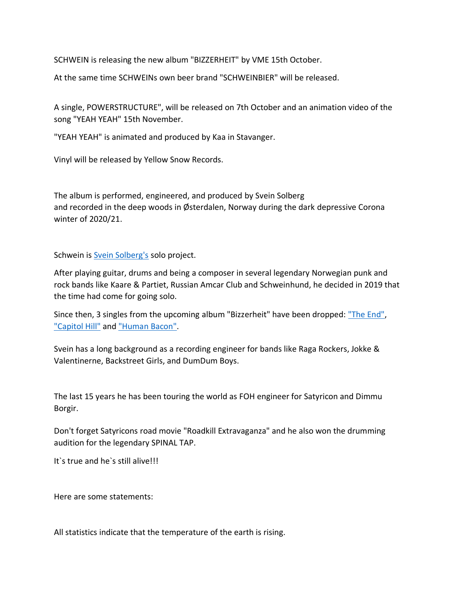SCHWEIN is releasing the new album "BIZZERHEIT" by VME 15th October.

At the same time SCHWEINs own beer brand "SCHWEINBIER" will be released.

A single, POWERSTRUCTURE", will be released on 7th October and an animation video of the song "YEAH YEAH" 15th November.

"YEAH YEAH" is animated and produced by Kaa in Stavanger.

Vinyl will be released by Yellow Snow Records.

The album is performed, engineered, and produced by Svein Solberg and recorded in the deep woods in Østerdalen, Norway during the dark depressive Corona winter of 2020/21.

Schwein is [Svein Solberg's](https://www.sveinsolberg.com/) solo project.

After playing guitar, drums and being a composer in several legendary Norwegian punk and rock bands like Kaare & Partiet, Russian Amcar Club and Schweinhund, he decided in 2019 that the time had come for going solo.

Since then, 3 singles from the upcoming album "Bizzerheit" have been dropped: ["The End",](https://schwein.no/index.html) ["Capitol Hill"](https://schwein.no/index.html) and ["Human Bacon".](https://schwein.no/index.html)

Svein has a long background as a recording engineer for bands like Raga Rockers, Jokke & Valentinerne, Backstreet Girls, and DumDum Boys.

The last 15 years he has been touring the world as FOH engineer for Satyricon and Dimmu Borgir.

Don't forget Satyricons road movie "Roadkill Extravaganza" and he also won the drumming audition for the legendary SPINAL TAP.

It`s true and he`s still alive!!!

Here are some statements:

All statistics indicate that the temperature of the earth is rising.